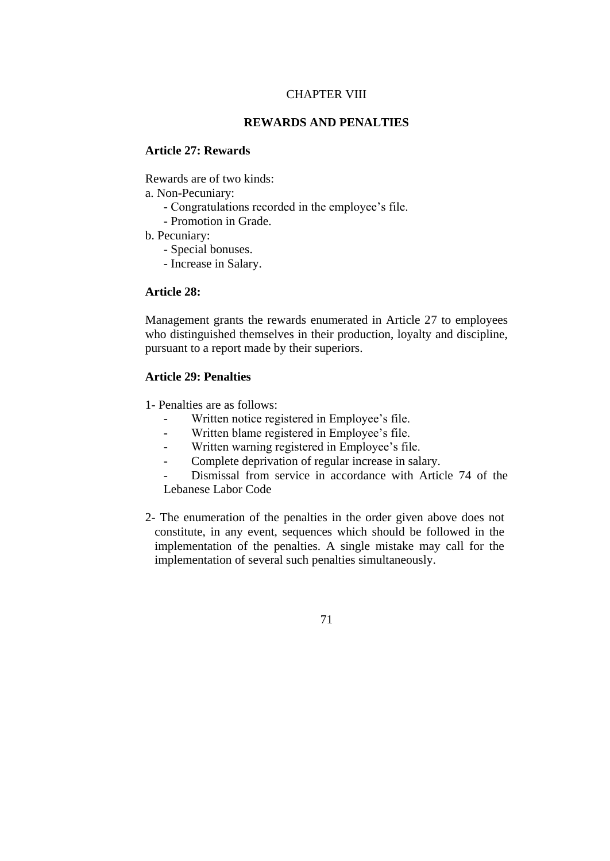# CHAPTER VIII

# **REWARDS AND PENALTIES**

#### **Article 27: Rewards**

Rewards are of two kinds:

a. Non-Pecuniary:

- Congratulations recorded in the employee's file.
- Promotion in Grade.
- b. Pecuniary:
	- Special bonuses.
	- Increase in Salary.

# **Article 28:**

Management grants the rewards enumerated in Article 27 to employees who distinguished themselves in their production, loyalty and discipline, pursuant to a report made by their superiors.

# **Article 29: Penalties**

1- Penalties are as follows:

- Written notice registered in Employee's file.
- Written blame registered in Employee's file.
- Written warning registered in Employee's file.
- Complete deprivation of regular increase in salary.

Dismissal from service in accordance with Article 74 of the Lebanese Labor Code

2- The enumeration of the penalties in the order given above does not constitute, in any event, sequences which should be followed in the implementation of the penalties. A single mistake may call for the implementation of several such penalties simultaneously.

71